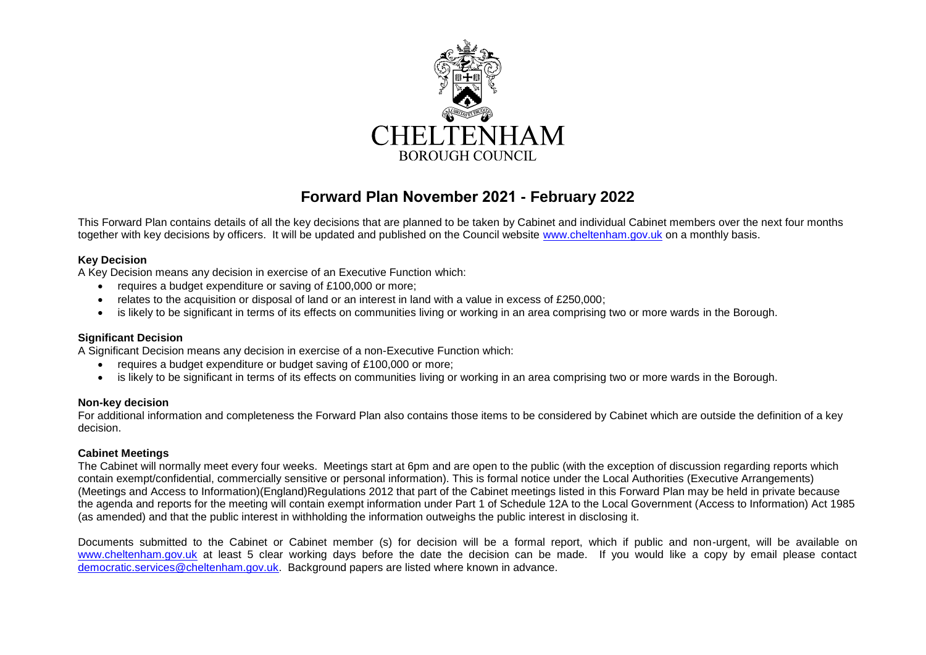

# **Forward Plan November 2021 - February 2022**

This Forward Plan contains details of all the key decisions that are planned to be taken by Cabinet and individual Cabinet members over the next four months together with key decisions by officers. It will be updated and published on the Council website [www.cheltenham.gov.uk](http://www.cheltenham.gov.uk/) on a monthly basis.

#### **Key Decision**

A Key Decision means any decision in exercise of an Executive Function which:

- requires a budget expenditure or saving of £100,000 or more;
- relates to the acquisition or disposal of land or an interest in land with a value in excess of £250,000;
- is likely to be significant in terms of its effects on communities living or working in an area comprising two or more wards in the Borough.

# **Significant Decision**

A Significant Decision means any decision in exercise of a non-Executive Function which:

- requires a budget expenditure or budget saving of £100,000 or more;
- is likely to be significant in terms of its effects on communities living or working in an area comprising two or more wards in the Borough.

#### **Non-key decision**

For additional information and completeness the Forward Plan also contains those items to be considered by Cabinet which are outside the definition of a key decision.

#### **Cabinet Meetings**

The Cabinet will normally meet every four weeks. Meetings start at 6pm and are open to the public (with the exception of discussion regarding reports which contain exempt/confidential, commercially sensitive or personal information). This is formal notice under the Local Authorities (Executive Arrangements) (Meetings and Access to Information)(England)Regulations 2012 that part of the Cabinet meetings listed in this Forward Plan may be held in private because the agenda and reports for the meeting will contain exempt information under Part 1 of Schedule 12A to the Local Government (Access to Information) Act 1985 (as amended) and that the public interest in withholding the information outweighs the public interest in disclosing it.

Documents submitted to the Cabinet or Cabinet member (s) for decision will be a formal report, which if public and non-urgent, will be available on [www.cheltenham.gov.uk](http://www.cheltenham.gov.uk/) at least 5 clear working days before the date the decision can be made. If you would like a copy by email please contact [democratic.services@cheltenham.gov.uk.](mailto:democratic.services@cheltenham.gov.uk) Background papers are listed where known in advance.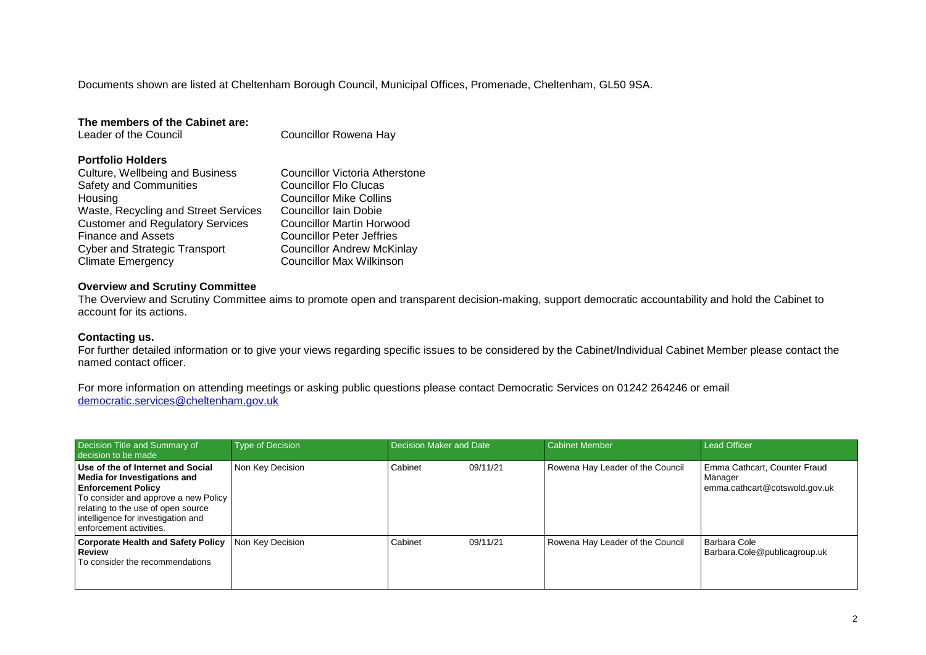Documents shown are listed at Cheltenham Borough Council, Municipal Offices, Promenade, Cheltenham, GL50 9SA.

| Councillor Rowena Hay             |  |  |
|-----------------------------------|--|--|
|                                   |  |  |
| Councillor Victoria Atherstone    |  |  |
| <b>Councillor Flo Clucas</b>      |  |  |
| <b>Councillor Mike Collins</b>    |  |  |
| Councillor Iain Dobie             |  |  |
| Councillor Martin Horwood         |  |  |
| <b>Councillor Peter Jeffries</b>  |  |  |
| <b>Councillor Andrew McKinlay</b> |  |  |
| Councillor Max Wilkinson          |  |  |
|                                   |  |  |

## **Overview and Scrutiny Committee**

The Overview and Scrutiny Committee aims to promote open and transparent decision-making, support democratic accountability and hold the Cabinet to account for its actions.

## **Contacting us.**

For further detailed information or to give your views regarding specific issues to be considered by the Cabinet/Individual Cabinet Member please contact the named contact officer.

For more information on attending meetings or asking public questions please contact Democratic Services on 01242 264246 or email [democratic.services@cheltenham.gov.uk](mailto:democratic.services@cheltenham.gov.uk)

| Decision Title and Summary of<br>decision to be made                                                                                                                                                                                          | Type of Decision | Decision Maker and Date | <b>Cabinet Member</b>            | <b>Lead Officer</b>                                                      |
|-----------------------------------------------------------------------------------------------------------------------------------------------------------------------------------------------------------------------------------------------|------------------|-------------------------|----------------------------------|--------------------------------------------------------------------------|
| Use of the of Internet and Social<br>Media for Investigations and<br><b>Enforcement Policy</b><br>To consider and approve a new Policy<br>relating to the use of open source<br>intelligence for investigation and<br>enforcement activities. | Non Key Decision | Cabinet<br>09/11/21     | Rowena Hay Leader of the Council | Emma Cathcart, Counter Fraud<br>Manager<br>emma.cathcart@cotswold.gov.uk |
| <b>Corporate Health and Safety Policy</b><br><b>Review</b><br>To consider the recommendations                                                                                                                                                 | Non Key Decision | Cabinet<br>09/11/21     | Rowena Hay Leader of the Council | Barbara Cole<br>Barbara.Cole@publicagroup.uk                             |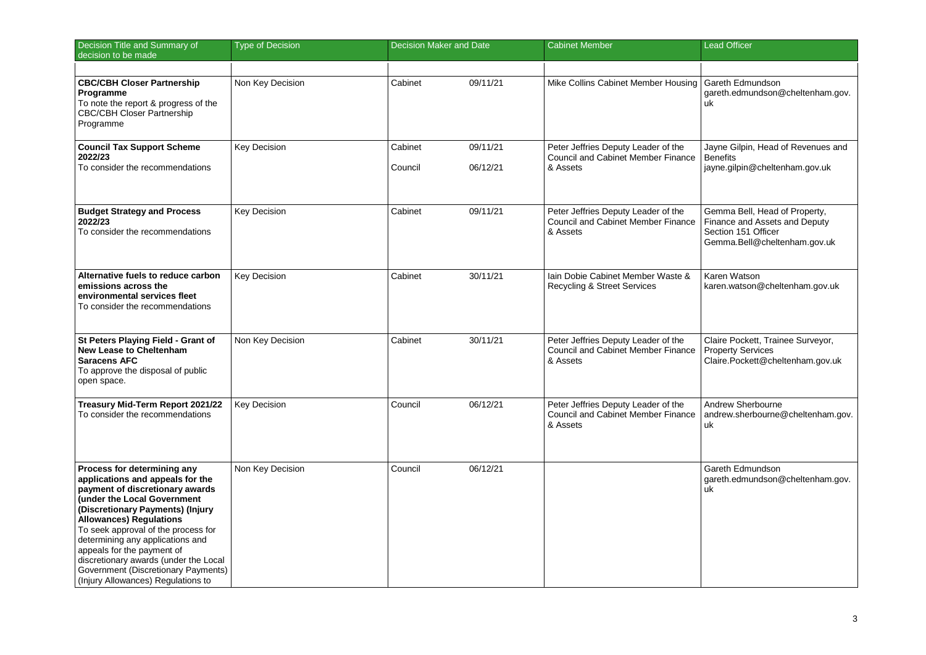| Decision Title and Summary of<br>decision to be made                                                                                                                                                                                                                                                                                                                                                                                   | <b>Type of Decision</b> | <b>Decision Maker and Date</b> |                      | <b>Cabinet Member</b>                                                                        | <b>Lead Officer</b>                                                                                                   |
|----------------------------------------------------------------------------------------------------------------------------------------------------------------------------------------------------------------------------------------------------------------------------------------------------------------------------------------------------------------------------------------------------------------------------------------|-------------------------|--------------------------------|----------------------|----------------------------------------------------------------------------------------------|-----------------------------------------------------------------------------------------------------------------------|
|                                                                                                                                                                                                                                                                                                                                                                                                                                        |                         |                                |                      |                                                                                              |                                                                                                                       |
| <b>CBC/CBH Closer Partnership</b><br>Programme<br>To note the report & progress of the<br><b>CBC/CBH Closer Partnership</b><br>Programme                                                                                                                                                                                                                                                                                               | Non Key Decision        | Cabinet                        | 09/11/21             | Mike Collins Cabinet Member Housing                                                          | Gareth Edmundson<br>gareth.edmundson@cheltenham.gov.<br>uk                                                            |
| <b>Council Tax Support Scheme</b><br>2022/23<br>To consider the recommendations                                                                                                                                                                                                                                                                                                                                                        | <b>Key Decision</b>     | Cabinet<br>Council             | 09/11/21<br>06/12/21 | Peter Jeffries Deputy Leader of the<br><b>Council and Cabinet Member Finance</b><br>& Assets | Jayne Gilpin, Head of Revenues and<br><b>Benefits</b><br>jayne.gilpin@cheltenham.gov.uk                               |
| <b>Budget Strategy and Process</b><br>2022/23<br>To consider the recommendations                                                                                                                                                                                                                                                                                                                                                       | <b>Key Decision</b>     | Cabinet                        | 09/11/21             | Peter Jeffries Deputy Leader of the<br><b>Council and Cabinet Member Finance</b><br>& Assets | Gemma Bell, Head of Property,<br>Finance and Assets and Deputy<br>Section 151 Officer<br>Gemma.Bell@cheltenham.gov.uk |
| Alternative fuels to reduce carbon<br>emissions across the<br>environmental services fleet<br>To consider the recommendations                                                                                                                                                                                                                                                                                                          | <b>Key Decision</b>     | Cabinet                        | 30/11/21             | Iain Dobie Cabinet Member Waste &<br><b>Recycling &amp; Street Services</b>                  | Karen Watson<br>karen.watson@cheltenham.gov.uk                                                                        |
| St Peters Playing Field - Grant of<br><b>New Lease to Cheltenham</b><br>Saracens AFC<br>To approve the disposal of public<br>open space.                                                                                                                                                                                                                                                                                               | Non Key Decision        | Cabinet                        | 30/11/21             | Peter Jeffries Deputy Leader of the<br><b>Council and Cabinet Member Finance</b><br>& Assets | Claire Pockett, Trainee Surveyor,<br><b>Property Services</b><br>Claire.Pockett@cheltenham.gov.uk                     |
| Treasury Mid-Term Report 2021/22<br>To consider the recommendations                                                                                                                                                                                                                                                                                                                                                                    | Key Decision            | Council                        | 06/12/21             | Peter Jeffries Deputy Leader of the<br><b>Council and Cabinet Member Finance</b><br>& Assets | Andrew Sherbourne<br>andrew.sherbourne@cheltenham.gov.<br>uk                                                          |
| Process for determining any<br>applications and appeals for the<br>payment of discretionary awards<br>(under the Local Government<br>(Discretionary Payments) (Injury<br><b>Allowances) Regulations</b><br>To seek approval of the process for<br>determining any applications and<br>appeals for the payment of<br>discretionary awards (under the Local<br>Government (Discretionary Payments)<br>(Injury Allowances) Regulations to | Non Key Decision        | Council                        | 06/12/21             |                                                                                              | Gareth Edmundson<br>gareth.edmundson@cheltenham.gov.<br>uk                                                            |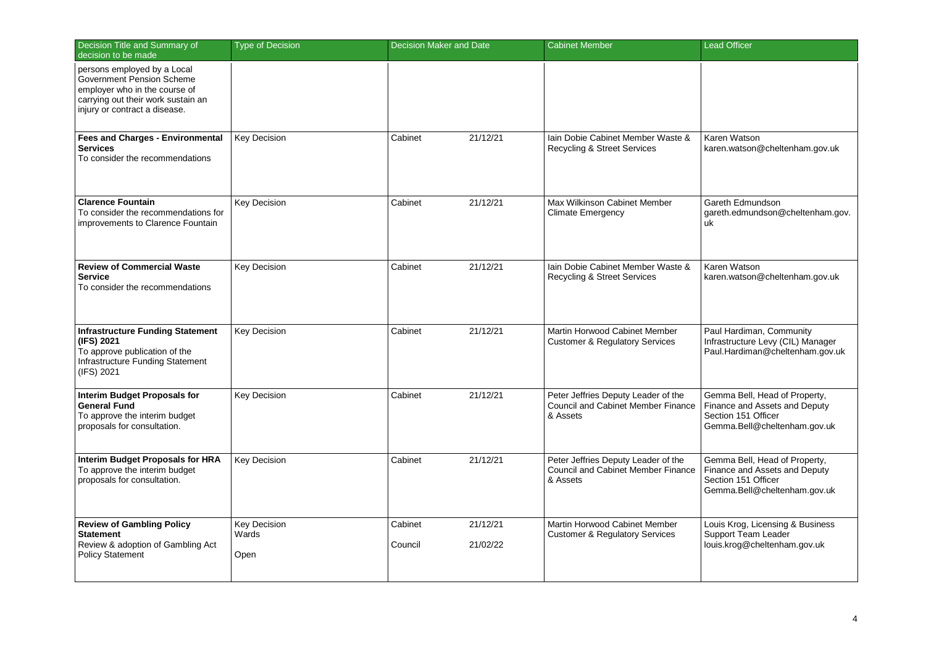| Decision Title and Summary of<br>decision to be made                                                                                                             | <b>Type of Decision</b>              | Decision Maker and Date                    | <b>Cabinet Member</b>                                                                        | <b>Lead Officer</b>                                                                                                   |
|------------------------------------------------------------------------------------------------------------------------------------------------------------------|--------------------------------------|--------------------------------------------|----------------------------------------------------------------------------------------------|-----------------------------------------------------------------------------------------------------------------------|
| persons employed by a Local<br>Government Pension Scheme<br>employer who in the course of<br>carrying out their work sustain an<br>injury or contract a disease. |                                      |                                            |                                                                                              |                                                                                                                       |
| <b>Fees and Charges - Environmental</b><br>Services<br>To consider the recommendations                                                                           | <b>Key Decision</b>                  | Cabinet<br>21/12/21                        | lain Dobie Cabinet Member Waste &<br><b>Recycling &amp; Street Services</b>                  | Karen Watson<br>karen.watson@cheltenham.gov.uk                                                                        |
| <b>Clarence Fountain</b><br>To consider the recommendations for<br>improvements to Clarence Fountain                                                             | Key Decision                         | 21/12/21<br>Cabinet                        | Max Wilkinson Cabinet Member<br><b>Climate Emergency</b>                                     | Gareth Edmundson<br>gareth.edmundson@cheltenham.gov.<br>uk                                                            |
| <b>Review of Commercial Waste</b><br>Service<br>To consider the recommendations                                                                                  | <b>Key Decision</b>                  | 21/12/21<br>Cabinet                        | Iain Dobie Cabinet Member Waste &<br><b>Recycling &amp; Street Services</b>                  | Karen Watson<br>karen.watson@cheltenham.gov.uk                                                                        |
| <b>Infrastructure Funding Statement</b><br>(IFS) 2021<br>To approve publication of the<br>Infrastructure Funding Statement<br>(IFS) 2021                         | <b>Key Decision</b>                  | 21/12/21<br>Cabinet                        | Martin Horwood Cabinet Member<br><b>Customer &amp; Regulatory Services</b>                   | Paul Hardiman, Community<br>Infrastructure Levy (CIL) Manager<br>Paul.Hardiman@cheltenham.gov.uk                      |
| <b>Interim Budget Proposals for</b><br>General Fund<br>To approve the interim budget<br>proposals for consultation.                                              | <b>Key Decision</b>                  | Cabinet<br>21/12/21                        | Peter Jeffries Deputy Leader of the<br><b>Council and Cabinet Member Finance</b><br>& Assets | Gemma Bell, Head of Property,<br>Finance and Assets and Deputy<br>Section 151 Officer<br>Gemma.Bell@cheltenham.gov.uk |
| Interim Budget Proposals for HRA<br>To approve the interim budget<br>proposals for consultation.                                                                 | <b>Key Decision</b>                  | Cabinet<br>21/12/21                        | Peter Jeffries Deputy Leader of the<br><b>Council and Cabinet Member Finance</b><br>& Assets | Gemma Bell, Head of Property,<br>Finance and Assets and Deputy<br>Section 151 Officer<br>Gemma.Bell@cheltenham.gov.uk |
| <b>Review of Gambling Policy</b><br><b>Statement</b><br>Review & adoption of Gambling Act<br><b>Policy Statement</b>                                             | <b>Key Decision</b><br>Wards<br>Open | Cabinet<br>21/12/21<br>21/02/22<br>Council | Martin Horwood Cabinet Member<br><b>Customer &amp; Regulatory Services</b>                   | Louis Krog, Licensing & Business<br>Support Team Leader<br>louis.krog@cheltenham.gov.uk                               |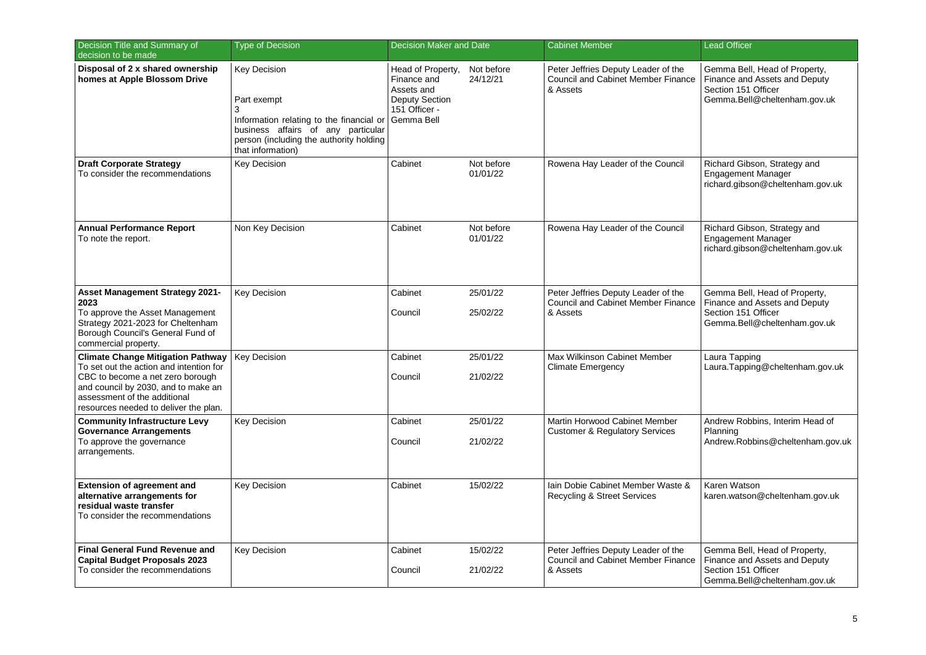| Decision Title and Summary of<br>decision to be made                                                                                                                                                                                    | <b>Type of Decision</b>                                                                                                                                                                   | <b>Decision Maker and Date</b>                                                                         |                        | <b>Cabinet Member</b>                                                                        | <b>Lead Officer</b>                                                                                                   |
|-----------------------------------------------------------------------------------------------------------------------------------------------------------------------------------------------------------------------------------------|-------------------------------------------------------------------------------------------------------------------------------------------------------------------------------------------|--------------------------------------------------------------------------------------------------------|------------------------|----------------------------------------------------------------------------------------------|-----------------------------------------------------------------------------------------------------------------------|
| Disposal of 2 x shared ownership<br>homes at Apple Blossom Drive                                                                                                                                                                        | <b>Key Decision</b><br>Part exempt<br>3<br>Information relating to the financial or<br>business affairs of any particular<br>person (including the authority holding<br>that information) | Head of Property,<br>Finance and<br>Assets and<br><b>Deputy Section</b><br>151 Officer -<br>Gemma Bell | Not before<br>24/12/21 | Peter Jeffries Deputy Leader of the<br><b>Council and Cabinet Member Finance</b><br>& Assets | Gemma Bell, Head of Property,<br>Finance and Assets and Deputy<br>Section 151 Officer<br>Gemma.Bell@cheltenham.gov.uk |
| <b>Draft Corporate Strategy</b><br>To consider the recommendations                                                                                                                                                                      | <b>Key Decision</b>                                                                                                                                                                       | Cabinet                                                                                                | Not before<br>01/01/22 | Rowena Hay Leader of the Council                                                             | Richard Gibson, Strategy and<br><b>Engagement Manager</b><br>richard.gibson@cheltenham.gov.uk                         |
| <b>Annual Performance Report</b><br>To note the report.                                                                                                                                                                                 | Non Key Decision                                                                                                                                                                          | Cabinet                                                                                                | Not before<br>01/01/22 | Rowena Hay Leader of the Council                                                             | Richard Gibson, Strategy and<br><b>Engagement Manager</b><br>richard.gibson@cheltenham.gov.uk                         |
| Asset Management Strategy 2021-<br>2023<br>To approve the Asset Management<br>Strategy 2021-2023 for Cheltenham<br>Borough Council's General Fund of<br>commercial property.                                                            | <b>Key Decision</b>                                                                                                                                                                       | Cabinet<br>Council                                                                                     | 25/01/22<br>25/02/22   | Peter Jeffries Deputy Leader of the<br><b>Council and Cabinet Member Finance</b><br>& Assets | Gemma Bell, Head of Property,<br>Finance and Assets and Deputy<br>Section 151 Officer<br>Gemma.Bell@cheltenham.gov.uk |
| <b>Climate Change Mitigation Pathway</b><br>To set out the action and intention for<br>CBC to become a net zero borough<br>and council by 2030, and to make an<br>assessment of the additional<br>resources needed to deliver the plan. | <b>Key Decision</b>                                                                                                                                                                       | Cabinet<br>Council                                                                                     | 25/01/22<br>21/02/22   | Max Wilkinson Cabinet Member<br><b>Climate Emergency</b>                                     | Laura Tapping<br>Laura.Tapping@cheltenham.gov.uk                                                                      |
| <b>Community Infrastructure Levy</b><br><b>Governance Arrangements</b><br>To approve the governance<br>arrangements.                                                                                                                    | <b>Key Decision</b>                                                                                                                                                                       | Cabinet<br>Council                                                                                     | 25/01/22<br>21/02/22   | Martin Horwood Cabinet Member<br><b>Customer &amp; Regulatory Services</b>                   | Andrew Robbins, Interim Head of<br>Planning<br>Andrew.Robbins@cheltenham.gov.uk                                       |
| <b>Extension of agreement and</b><br>alternative arrangements for<br>residual waste transfer<br>To consider the recommendations                                                                                                         | <b>Key Decision</b>                                                                                                                                                                       | Cabinet                                                                                                | 15/02/22               | lain Dobie Cabinet Member Waste &<br><b>Recycling &amp; Street Services</b>                  | Karen Watson<br>karen.watson@cheltenham.gov.uk                                                                        |
| <b>Final General Fund Revenue and</b><br><b>Capital Budget Proposals 2023</b><br>To consider the recommendations                                                                                                                        | Key Decision                                                                                                                                                                              | Cabinet<br>Council                                                                                     | 15/02/22<br>21/02/22   | Peter Jeffries Deputy Leader of the<br><b>Council and Cabinet Member Finance</b><br>& Assets | Gemma Bell, Head of Property,<br>Finance and Assets and Deputy<br>Section 151 Officer<br>Gemma.Bell@cheltenham.gov.uk |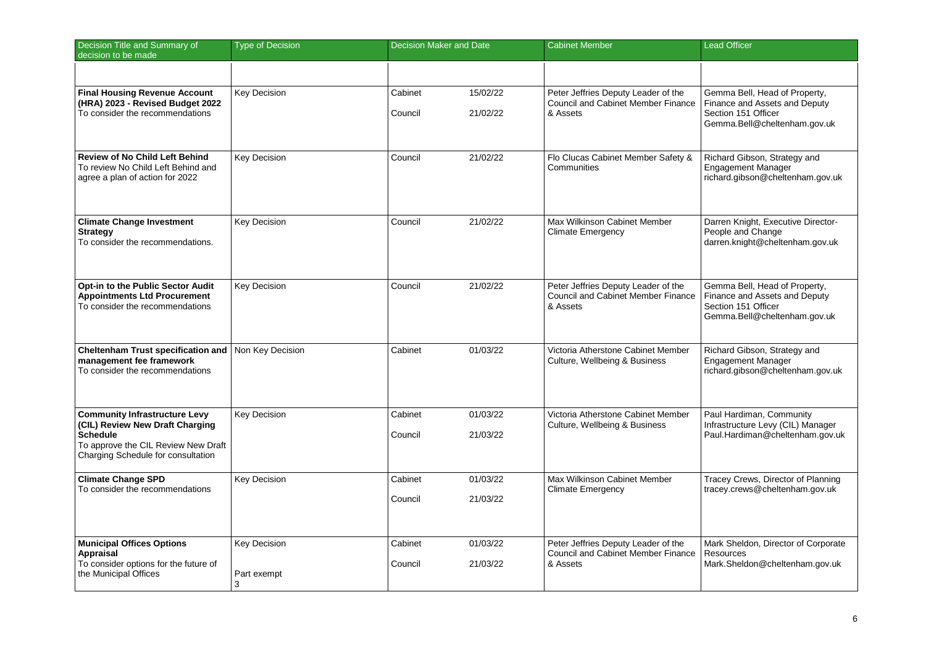| Decision Title and Summary of<br>decision to be made                                                                                                             | <b>Type of Decision</b>                 | <b>Decision Maker and Date</b> |                      | <b>Cabinet Member</b>                                                                        | <b>Lead Officer</b>                                                                                                   |
|------------------------------------------------------------------------------------------------------------------------------------------------------------------|-----------------------------------------|--------------------------------|----------------------|----------------------------------------------------------------------------------------------|-----------------------------------------------------------------------------------------------------------------------|
|                                                                                                                                                                  |                                         |                                |                      |                                                                                              |                                                                                                                       |
| <b>Final Housing Revenue Account</b><br>(HRA) 2023 - Revised Budget 2022<br>To consider the recommendations                                                      | <b>Key Decision</b>                     | Cabinet<br>Council             | 15/02/22<br>21/02/22 | Peter Jeffries Deputy Leader of the<br><b>Council and Cabinet Member Finance</b><br>& Assets | Gemma Bell, Head of Property,<br>Finance and Assets and Deputy<br>Section 151 Officer<br>Gemma.Bell@cheltenham.gov.uk |
| <b>Review of No Child Left Behind</b><br>To review No Child Left Behind and<br>agree a plan of action for 2022                                                   | <b>Key Decision</b>                     | Council                        | 21/02/22             | Flo Clucas Cabinet Member Safety &<br>Communities                                            | Richard Gibson, Strategy and<br><b>Engagement Manager</b><br>richard.gibson@cheltenham.gov.uk                         |
| <b>Climate Change Investment</b><br>Strategy<br>To consider the recommendations.                                                                                 | Key Decision                            | Council                        | 21/02/22             | Max Wilkinson Cabinet Member<br><b>Climate Emergency</b>                                     | Darren Knight, Executive Director-<br>People and Change<br>darren.knight@cheltenham.gov.uk                            |
| Opt-in to the Public Sector Audit<br><b>Appointments Ltd Procurement</b><br>To consider the recommendations                                                      | <b>Key Decision</b>                     | Council                        | 21/02/22             | Peter Jeffries Deputy Leader of the<br><b>Council and Cabinet Member Finance</b><br>& Assets | Gemma Bell, Head of Property,<br>Finance and Assets and Deputy<br>Section 151 Officer<br>Gemma.Bell@cheltenham.gov.uk |
| <b>Cheltenham Trust specification and</b><br>management fee framework<br>To consider the recommendations                                                         | Non Key Decision                        | Cabinet                        | 01/03/22             | Victoria Atherstone Cabinet Member<br>Culture, Wellbeing & Business                          | Richard Gibson, Strategy and<br><b>Engagement Manager</b><br>richard.gibson@cheltenham.gov.uk                         |
| <b>Community Infrastructure Levy</b><br>(CIL) Review New Draft Charging<br>Schedule<br>To approve the CIL Review New Draft<br>Charging Schedule for consultation | Key Decision                            | Cabinet<br>Council             | 01/03/22<br>21/03/22 | Victoria Atherstone Cabinet Member<br>Culture, Wellbeing & Business                          | Paul Hardiman, Community<br>Infrastructure Levy (CIL) Manager<br>Paul.Hardiman@cheltenham.gov.uk                      |
| <b>Climate Change SPD</b><br>To consider the recommendations                                                                                                     | <b>Key Decision</b>                     | Cabinet<br>Council             | 01/03/22<br>21/03/22 | Max Wilkinson Cabinet Member<br>Climate Emergency                                            | Tracey Crews, Director of Planning<br>tracey.crews@cheltenham.gov.uk                                                  |
| <b>Municipal Offices Options</b><br>Appraisal<br>To consider options for the future of<br>the Municipal Offices                                                  | <b>Key Decision</b><br>Part exempt<br>3 | Cabinet<br>Council             | 01/03/22<br>21/03/22 | Peter Jeffries Deputy Leader of the<br><b>Council and Cabinet Member Finance</b><br>& Assets | Mark Sheldon, Director of Corporate<br>Resources<br>Mark.Sheldon@cheltenham.gov.uk                                    |